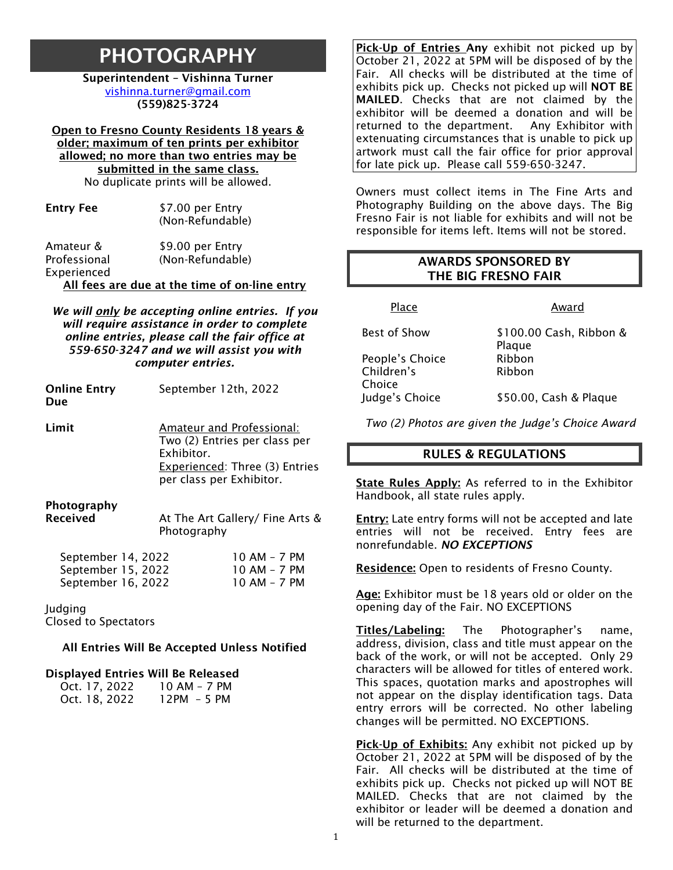# PHOTOGRAPHY

Superintendent – Vishinna Turner [vishinna.turner@gmail.com](mailto:vishinna.turner@gmail.com) (559)825-3724

Open to Fresno County Residents 18 years & older; maximum of ten prints per exhibitor allowed; no more than two entries may be submitted in the same class. No duplicate prints will be allowed.

| <b>Entry Fee</b> | \$7.00 per Entry<br>(Non-Refundable) |
|------------------|--------------------------------------|
| Amateur &        | \$9.00 per Entry                     |

Professional Experienced (Non-Refundable)

All fees are due at the time of on-line entry

*We will only be accepting online entries. If you will require assistance in order to complete online entries, please call the fair office at 559-650-3247 and we will assist you with computer entries.*

| <b>Online Entry</b><br>Due | September 12th, 2022                                                                                                                                                                                                                                                                                                                              |
|----------------------------|---------------------------------------------------------------------------------------------------------------------------------------------------------------------------------------------------------------------------------------------------------------------------------------------------------------------------------------------------|
| Limit                      | Amateur and Professional:<br>Two (2) Entries per class per<br>Exhibitor.<br>Experienced: Three (3) Entries<br>per class per Exhibitor.                                                                                                                                                                                                            |
| Photography<br>.           | $\overline{a}$ . $\overline{a}$ and $\overline{a}$ if $\overline{a}$ if $\overline{a}$ if $\overline{a}$ if $\overline{a}$ if $\overline{a}$ if $\overline{a}$ if $\overline{a}$ if $\overline{a}$ if $\overline{a}$ if $\overline{a}$ if $\overline{a}$ if $\overline{a}$ if $\overline{a}$ if $\overline{a}$ if $\overline{a}$ if $\overline{a$ |

| Received | At The Art Gallery/ Fine Arts & |
|----------|---------------------------------|
|          | Photography                     |
|          |                                 |

| September 14, 2022 | 10 AM - 7 PM |
|--------------------|--------------|
| September 15, 2022 | 10 AM - 7 PM |
| September 16, 2022 | $10AM - 7PM$ |

Judging

Closed to Spectators

#### All Entries Will Be Accepted Unless Notified

#### Displayed Entries Will Be Released

| Oct. 17, 2022 | 10 AM - 7 PM |
|---------------|--------------|
| Oct. 18, 2022 | $12PM - 5PM$ |

Pick-Up of Entries Any exhibit not picked up by October 21, 2022 at 5PM will be disposed of by the Fair. All checks will be distributed at the time of exhibits pick up. Checks not picked up will **NOT BE** MAILED. Checks that are not claimed by the exhibitor will be deemed a donation and will be returned to the department. Any Exhibitor with extenuating circumstances that is unable to pick up artwork must call the fair office for prior approval for late pick up. Please call 559-650-3247.

Owners must collect items in The Fine Arts and Photography Building on the above days. The Big Fresno Fair is not liable for exhibits and will not be responsible for items left. Items will not be stored.

## AWARDS SPONSORED BY THE BIG FRESNO FAIR

Place Award

People's Choice Ribbon Children's Choice

Best of Show \$100.00 Cash, Ribbon & Plaque Ribbon

Judge's Choice \$50.00, Cash & Plaque

*Two (2) Photos are given the Judge's Choice Award*

#### RULES & REGULATIONS

State Rules Apply: As referred to in the Exhibitor Handbook, all state rules apply.

Entry: Late entry forms will not be accepted and late entries will not be received. Entry fees are nonrefundable. *NO EXCEPTIONS*

**Residence:** Open to residents of Fresno County.

Age: Exhibitor must be 18 years old or older on the opening day of the Fair. NO EXCEPTIONS

Titles/Labeling: The Photographer's name, address, division, class and title must appear on the back of the work, or will not be accepted. Only 29 characters will be allowed for titles of entered work. This spaces, quotation marks and apostrophes will not appear on the display identification tags. Data entry errors will be corrected. No other labeling changes will be permitted. NO EXCEPTIONS.

Pick-Up of Exhibits: Any exhibit not picked up by October 21, 2022 at 5PM will be disposed of by the Fair. All checks will be distributed at the time of exhibits pick up. Checks not picked up will NOT BE MAILED. Checks that are not claimed by the exhibitor or leader will be deemed a donation and will be returned to the department.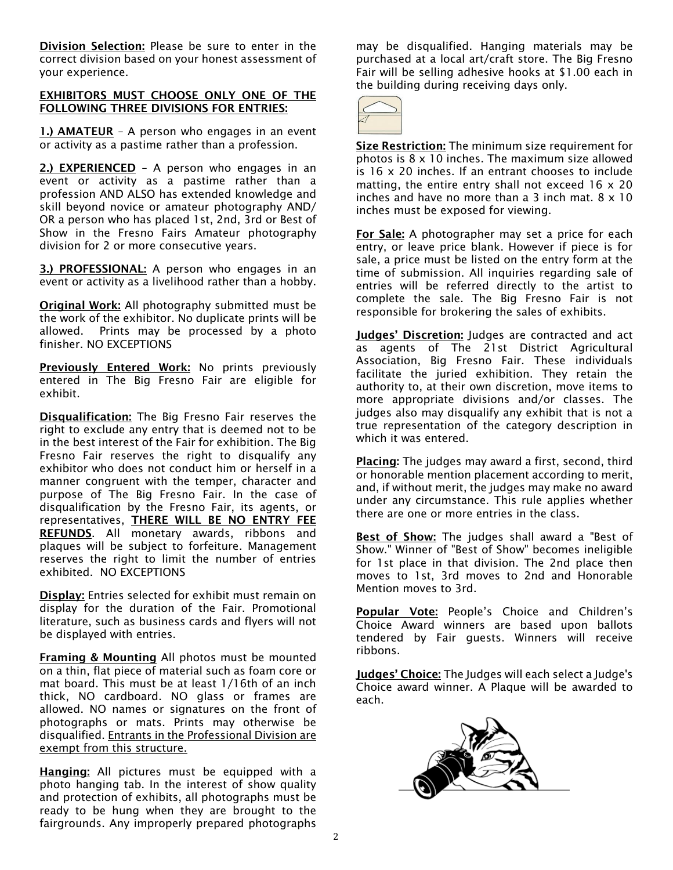Division Selection: Please be sure to enter in the correct division based on your honest assessment of your experience.

#### EXHIBITORS MUST CHOOSE ONLY ONE OF THE FOLLOWING THREE DIVISIONS FOR ENTRIES:

1.) AMATEUR - A person who engages in an event or activity as a pastime rather than a profession.

2.) **EXPERIENCED** - A person who engages in an event or activity as a pastime rather than a profession AND ALSO has extended knowledge and skill beyond novice or amateur photography AND/ OR a person who has placed 1st, 2nd, 3rd or Best of Show in the Fresno Fairs Amateur photography division for 2 or more consecutive years.

3.) PROFESSIONAL: A person who engages in an event or activity as a livelihood rather than a hobby.

Original Work: All photography submitted must be the work of the exhibitor. No duplicate prints will be allowed. Prints may be processed by a photo finisher. NO EXCEPTIONS

Previously Entered Work: No prints previously entered in The Big Fresno Fair are eligible for exhibit.

Disqualification: The Big Fresno Fair reserves the right to exclude any entry that is deemed not to be in the best interest of the Fair for exhibition. The Big Fresno Fair reserves the right to disqualify any exhibitor who does not conduct him or herself in a manner congruent with the temper, character and purpose of The Big Fresno Fair. In the case of disqualification by the Fresno Fair, its agents, or representatives, THERE WILL BE NO ENTRY FEE REFUNDS. All monetary awards, ribbons and plaques will be subject to forfeiture. Management reserves the right to limit the number of entries exhibited. NO EXCEPTIONS

**Display:** Entries selected for exhibit must remain on display for the duration of the Fair. Promotional literature, such as business cards and flyers will not be displayed with entries.

Framing & Mounting All photos must be mounted on a thin, flat piece of material such as foam core or mat board. This must be at least 1/16th of an inch thick, NO cardboard. NO glass or frames are allowed. NO names or signatures on the front of photographs or mats. Prints may otherwise be disqualified. Entrants in the Professional Division are exempt from this structure.

Hanging: All pictures must be equipped with a photo hanging tab. In the interest of show quality and protection of exhibits, all photographs must be ready to be hung when they are brought to the fairgrounds. Any improperly prepared photographs

may be disqualified. Hanging materials may be purchased at a local art/craft store. The Big Fresno Fair will be selling adhesive hooks at \$1.00 each in the building during receiving days only.



Size Restriction: The minimum size requirement for photos is 8 x 10 inches. The maximum size allowed is 16 x 20 inches. If an entrant chooses to include matting, the entire entry shall not exceed 16 x 20 inches and have no more than a 3 inch mat.  $8 \times 10$ inches must be exposed for viewing.

For Sale: A photographer may set a price for each entry, or leave price blank. However if piece is for sale, a price must be listed on the entry form at the time of submission. All inquiries regarding sale of entries will be referred directly to the artist to complete the sale. The Big Fresno Fair is not responsible for brokering the sales of exhibits.

Judges' Discretion: Judges are contracted and act as agents of The 21st District Agricultural Association, Big Fresno Fair. These individuals facilitate the juried exhibition. They retain the authority to, at their own discretion, move items to more appropriate divisions and/or classes. The judges also may disqualify any exhibit that is not a true representation of the category description in which it was entered.

Placing: The judges may award a first, second, third or honorable mention placement according to merit, and, if without merit, the judges may make no award under any circumstance. This rule applies whether there are one or more entries in the class.

Best of Show: The judges shall award a "Best of Show." Winner of "Best of Show" becomes ineligible for 1st place in that division. The 2nd place then moves to 1st, 3rd moves to 2nd and Honorable Mention moves to 3rd.

Popular Vote: People's Choice and Children's Choice Award winners are based upon ballots tendered by Fair guests. Winners will receive ribbons.

**Judges' Choice:** The Judges will each select a Judge's Choice award winner. A Plaque will be awarded to each.

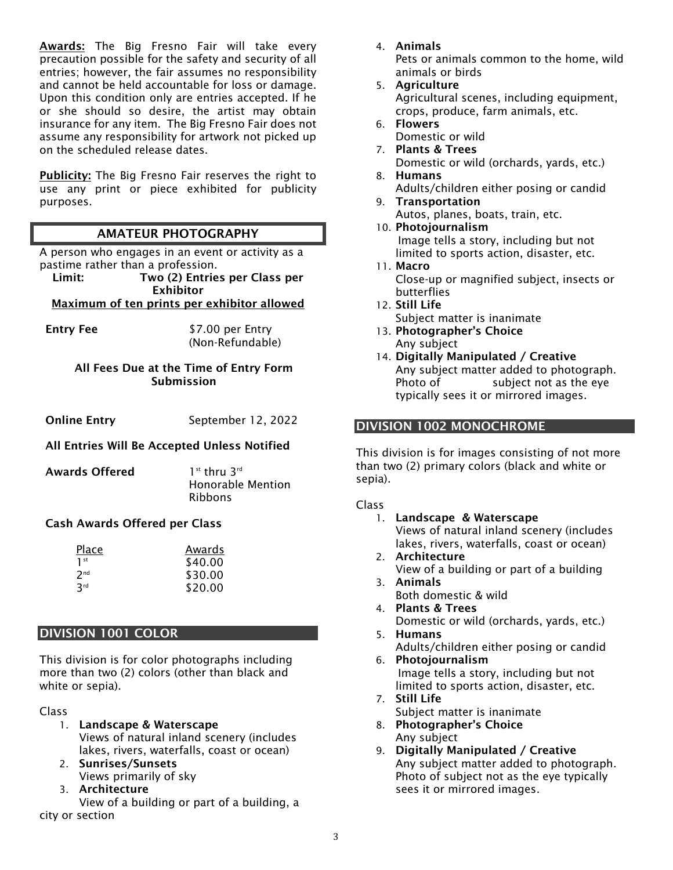Awards: The Big Fresno Fair will take every precaution possible for the safety and security of all entries; however, the fair assumes no responsibility and cannot be held accountable for loss or damage. Upon this condition only are entries accepted. If he or she should so desire, the artist may obtain insurance for any item. The Big Fresno Fair does not assume any responsibility for artwork not picked up on the scheduled release dates.

Publicity: The Big Fresno Fair reserves the right to use any print or piece exhibited for publicity purposes.

# AMATEUR PHOTOGRAPHY

A person who engages in an event or activity as a pastime rather than a profession.

Limit: Two (2) Entries per Class per Exhibitor

# Maximum of ten prints per exhibitor allowed

Entry Fee \$7.00 per Entry (Non-Refundable)

#### All Fees Due at the Time of Entry Form Submission

**Online Entry** September 12, 2022

## All Entries Will Be Accepted Unless Notified

| Awards Offered | $1st$ thru $3rd$         |
|----------------|--------------------------|
|                | <b>Honorable Mention</b> |
|                | <b>Ribbons</b>           |

## Cash Awards Offered per Class

| Place                  | Awards  |
|------------------------|---------|
| 1 <sup>st</sup>        | \$40.00 |
| 7 <sub>nd</sub>        | \$30.00 |
| <b>R</b> <sup>rd</sup> | \$20.00 |

#### DIVISION 1001 COLOR

This division is for color photographs including more than two (2) colors (other than black and white or sepia).

Class

- 1. Landscape & Waterscape Views of natural inland scenery (includes lakes, rivers, waterfalls, coast or ocean)
- 2. Sunrises/Sunsets Views primarily of sky
- 3. Architecture

View of a building or part of a building, a city or section

4. Animals

Pets or animals common to the home, wild animals or birds

- 5. Agriculture Agricultural scenes, including equipment, crops, produce, farm animals, etc.
- 6. Flowers Domestic or wild
- 7. Plants & Trees Domestic or wild (orchards, yards, etc.) 8. Humans
- Adults/children either posing or candid 9. Transportation
	- Autos, planes, boats, train, etc.
- 10. Photojournalism Image tells a story, including but not limited to sports action, disaster, etc.
- 11. Macro Close-up or magnified subject, insects or butterflies
- 12. Still Life Subject matter is inanimate
- 13. Photographer's Choice Any subject
- 14. Digitally Manipulated / Creative Any subject matter added to photograph. Photo of subject not as the eye typically sees it or mirrored images.

#### DIVISION 1002 MONOCHROME

This division is for images consisting of not more than two (2) primary colors (black and white or sepia).

Class

- 1. Landscape & Waterscape Views of natural inland scenery (includes lakes, rivers, waterfalls, coast or ocean) 2. Architecture
	- View of a building or part of a building
- 3. Animals Both domestic & wild
- 4. Plants & Trees Domestic or wild (orchards, yards, etc.)
- 5. Humans Adults/children either posing or candid
- 6. Photojournalism Image tells a story, including but not limited to sports action, disaster, etc.
- 7. Still Life Subject matter is inanimate
- 8. Photographer's Choice Any subject
- 9. Digitally Manipulated / Creative Any subject matter added to photograph. Photo of subject not as the eye typically sees it or mirrored images.